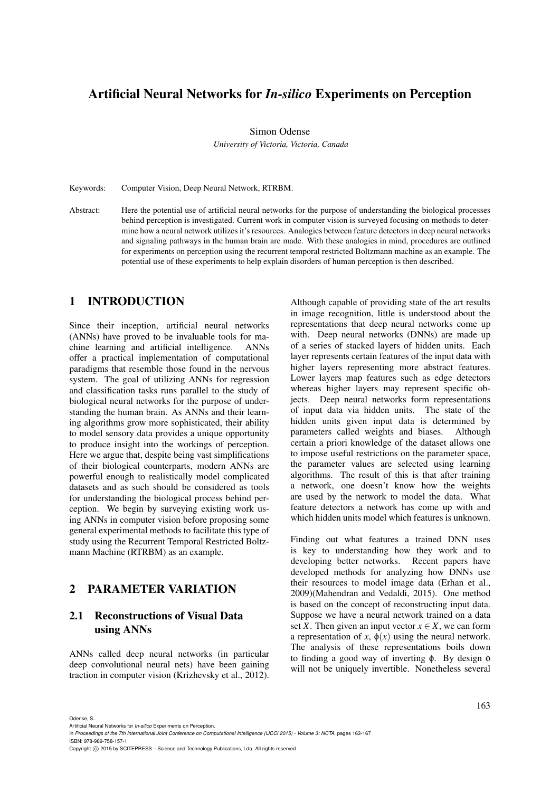# Artificial Neural Networks for *In-silico* Experiments on Perception

Simon Odense

*University of Victoria, Victoria, Canada*

Keywords: Computer Vision, Deep Neural Network, RTRBM.

Abstract: Here the potential use of artificial neural networks for the purpose of understanding the biological processes behind perception is investigated. Current work in computer vision is surveyed focusing on methods to determine how a neural network utilizes it's resources. Analogies between feature detectors in deep neural networks and signaling pathways in the human brain are made. With these analogies in mind, procedures are outlined for experiments on perception using the recurrent temporal restricted Boltzmann machine as an example. The potential use of these experiments to help explain disorders of human perception is then described.

#### 1 INTRODUCTION

Since their inception, artificial neural networks (ANNs) have proved to be invaluable tools for machine learning and artificial intelligence. ANNs offer a practical implementation of computational paradigms that resemble those found in the nervous system. The goal of utilizing ANNs for regression and classification tasks runs parallel to the study of biological neural networks for the purpose of understanding the human brain. As ANNs and their learning algorithms grow more sophisticated, their ability to model sensory data provides a unique opportunity to produce insight into the workings of perception. Here we argue that, despite being vast simplifications of their biological counterparts, modern ANNs are powerful enough to realistically model complicated datasets and as such should be considered as tools for understanding the biological process behind perception. We begin by surveying existing work using ANNs in computer vision before proposing some general experimental methods to facilitate this type of study using the Recurrent Temporal Restricted Boltzmann Machine (RTRBM) as an example.

#### 2 PARAMETER VARIATION

## 2.1 Reconstructions of Visual Data using ANNs

ANNs called deep neural networks (in particular deep convolutional neural nets) have been gaining traction in computer vision (Krizhevsky et al., 2012).

Although capable of providing state of the art results in image recognition, little is understood about the representations that deep neural networks come up with. Deep neural networks (DNNs) are made up of a series of stacked layers of hidden units. Each layer represents certain features of the input data with higher layers representing more abstract features. Lower layers map features such as edge detectors whereas higher layers may represent specific objects. Deep neural networks form representations of input data via hidden units. The state of the hidden units given input data is determined by parameters called weights and biases. Although certain a priori knowledge of the dataset allows one to impose useful restrictions on the parameter space, the parameter values are selected using learning algorithms. The result of this is that after training a network, one doesn't know how the weights are used by the network to model the data. What feature detectors a network has come up with and which hidden units model which features is unknown.

Finding out what features a trained DNN uses is key to understanding how they work and to developing better networks. Recent papers have developed methods for analyzing how DNNs use their resources to model image data (Erhan et al., 2009)(Mahendran and Vedaldi, 2015). One method is based on the concept of reconstructing input data. Suppose we have a neural network trained on a data set *X*. Then given an input vector  $x \in X$ , we can form a representation of *x*,  $\phi(x)$  using the neural network. The analysis of these representations boils down to finding a good way of inverting φ. By design φ will not be uniquely invertible. Nonetheless several

Odense, S..

Artificial Neural Networks for *In-silico* Experiments on Perception.

In *Proceedings of the 7th International Joint Conference on Computational Intelligence (IJCCI 2015) - Volume 3: NCTA*, pages 163-167 ISBN: 978-989-758-157-1

Copyright C 2015 by SCITEPRESS - Science and Technology Publications, Lda. All rights reserved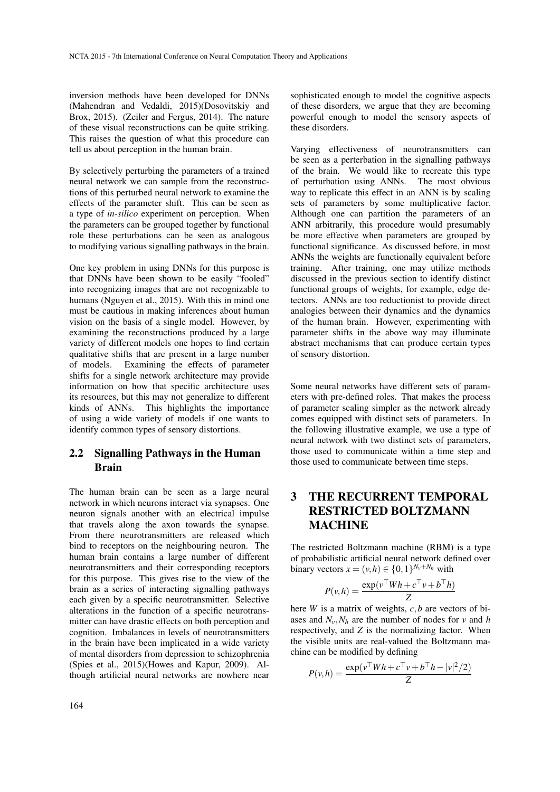inversion methods have been developed for DNNs (Mahendran and Vedaldi, 2015)(Dosovitskiy and Brox, 2015). (Zeiler and Fergus, 2014). The nature of these visual reconstructions can be quite striking. This raises the question of what this procedure can tell us about perception in the human brain.

By selectively perturbing the parameters of a trained neural network we can sample from the reconstructions of this perturbed neural network to examine the effects of the parameter shift. This can be seen as a type of *in-silico* experiment on perception. When the parameters can be grouped together by functional role these perturbations can be seen as analogous to modifying various signalling pathways in the brain.

One key problem in using DNNs for this purpose is that DNNs have been shown to be easily "fooled" into recognizing images that are not recognizable to humans (Nguyen et al., 2015). With this in mind one must be cautious in making inferences about human vision on the basis of a single model. However, by examining the reconstructions produced by a large variety of different models one hopes to find certain qualitative shifts that are present in a large number of models. Examining the effects of parameter shifts for a single network architecture may provide information on how that specific architecture uses its resources, but this may not generalize to different kinds of ANNs. This highlights the importance of using a wide variety of models if one wants to identify common types of sensory distortions.

#### 2.2 Signalling Pathways in the Human Brain

The human brain can be seen as a large neural network in which neurons interact via synapses. One neuron signals another with an electrical impulse that travels along the axon towards the synapse. From there neurotransmitters are released which bind to receptors on the neighbouring neuron. The human brain contains a large number of different neurotransmitters and their corresponding receptors for this purpose. This gives rise to the view of the brain as a series of interacting signalling pathways each given by a specific neurotransmitter. Selective alterations in the function of a specific neurotransmitter can have drastic effects on both perception and cognition. Imbalances in levels of neurotransmitters in the brain have been implicated in a wide variety of mental disorders from depression to schizophrenia (Spies et al., 2015)(Howes and Kapur, 2009). Although artificial neural networks are nowhere near

sophisticated enough to model the cognitive aspects of these disorders, we argue that they are becoming powerful enough to model the sensory aspects of these disorders.

Varying effectiveness of neurotransmitters can be seen as a perterbation in the signalling pathways of the brain. We would like to recreate this type of perturbation using ANNs. The most obvious way to replicate this effect in an ANN is by scaling sets of parameters by some multiplicative factor. Although one can partition the parameters of an ANN arbitrarily, this procedure would presumably be more effective when parameters are grouped by functional significance. As discussed before, in most ANNs the weights are functionally equivalent before training. After training, one may utilize methods discussed in the previous section to identify distinct functional groups of weights, for example, edge detectors. ANNs are too reductionist to provide direct analogies between their dynamics and the dynamics of the human brain. However, experimenting with parameter shifts in the above way may illuminate abstract mechanisms that can produce certain types of sensory distortion.

Some neural networks have different sets of parameters with pre-defined roles. That makes the process of parameter scaling simpler as the network already comes equipped with distinct sets of parameters. In the following illustrative example, we use a type of neural network with two distinct sets of parameters, those used to communicate within a time step and those used to communicate between time steps.

## 3 THE RECURRENT TEMPORAL RESTRICTED BOLTZMANN MACHINE

The restricted Boltzmann machine (RBM) is a type of probabilistic artificial neural network defined over binary vectors  $x = (v, h) \in \{0, 1\}^{N_v + N_h}$  with

$$
P(v,h) = \frac{\exp(v^{\top}Wh + c^{\top}v + b^{\top}h)}{Z}
$$

here *W* is a matrix of weights, *c*,*b* are vectors of biases and  $N_v$ ,  $N_h$  are the number of nodes for *v* and *h* respectively, and *Z* is the normalizing factor. When the visible units are real-valued the Boltzmann machine can be modified by defining

$$
P(v,h) = \frac{\exp(v^{\top}Wh + c^{\top}v + b^{\top}h - |v|^2/2)}{Z}
$$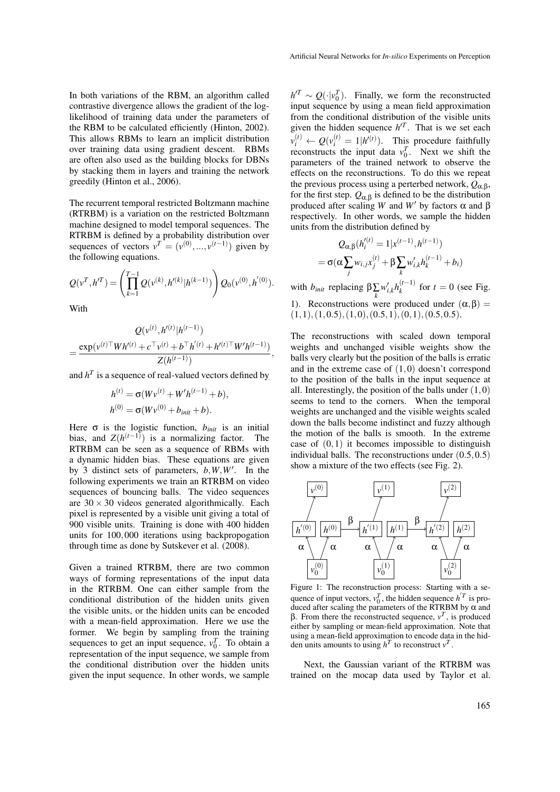In both variations of the RBM, an algorithm called contrastive divergence allows the gradient of the loglikelihood of training data under the parameters of the RBM to be calculated efficiently (Hinton, 2002). This allows RBMs to learn an implicit distribution over training data using gradient descent. RBMs are often also used as the building blocks for DBNs by stacking them in layers and training the network greedily (Hinton et al., 2006).

The recurrent temporal restricted Boltzmann machine (RTRBM) is a variation on the restricted Boltzmann machine designed to model temporal sequences. The RTRBM is defined by a probability distribution over sequences of vectors  $v^T = (v^{(0)}, ..., v^{(t-1)})$  given by the following equations.

$$
Q(\nu^T, h'^T) = \left(\prod_{k=1}^{T-1} Q(\nu^{(k)}, h'^{(k)} | h^{(k-1)})\right) Q_0(\nu^{(0)}, h'^{(0)}).
$$

With

$$
Q(v^{(t)}, h'^{(t)}|h^{(t-1)}) = \frac{\exp(v^{(t)\top}Wh'^{(t)} + c^\top v^{(t)} + b^\top h'^{(t)} + h'^{(t)\top}W'h^{(t-1)})}{Z(h^{(t-1)})}
$$

,

and  $h^T$  is a sequence of real-valued vectors defined by

$$
h^{(t)} = \sigma(Wv^{(t)} + W'h^{(t-1)} + b),
$$
  
\n
$$
h^{(0)} = \sigma(Wv^{(0)} + b_{init} + b).
$$

Here  $\sigma$  is the logistic function,  $b_{init}$  is an initial bias, and  $Z(h^{(t-1)})$  is a normalizing factor. The RTRBM can be seen as a sequence of RBMs with a dynamic hidden bias. These equations are given by 3 distinct sets of parameters,  $b, W, W'$ . In the following experiments we train an RTRBM on video sequences of bouncing balls. The video sequences are  $30 \times 30$  videos generated algorithmically. Each pixel is represented by a visible unit giving a total of 900 visible units. Training is done with 400 hidden units for 100,000 iterations using backpropogation through time as done by Sutskever et al. (2008).

Given a trained RTRBM, there are two common ways of forming representations of the input data in the RTRBM. One can either sample from the conditional distribution of the hidden units given the visible units, or the hidden units can be encoded with a mean-field approximation. Here we use the former. We begin by sampling from the training sequences to get an input sequence,  $v_0^T$ . To obtain a representation of the input sequence, we sample from the conditional distribution over the hidden units given the input sequence. In other words, we sample

 $h^T \sim Q(\cdot | v_0^T)$ . Finally, we form the reconstructed input sequence by using a mean field approximation from the conditional distribution of the visible units given the hidden sequence  $h^T$ . That is we set each  $v_i^{(t)} \leftarrow Q(v_i^{(t)} = 1 | h^{(t)})$ . This procedure faithfully reconstructs the input data  $v_0^T$ . Next we shift the parameters of the trained network to observe the effects on the reconstructions. To do this we repeat the previous process using a perterbed network,  $Q_{\alpha\beta}$ , for the first step.  $Q_{\alpha,\beta}$  is defined to be the distribution produced after scaling *W* and *W'* by factors  $\alpha$  and  $\beta$ respectively. In other words, we sample the hidden units from the distribution defined by

$$
Q_{\alpha,\beta}(h_i^{(t)} = 1 | x^{(t-1)}, h^{(t-1)})
$$
  
=  $\sigma(\alpha \sum_j w_{i,j} x_j^{(t)} + \beta \sum_k w_{i,k}' h_k^{(t-1)} + b_i)$ 

with  $b_{init}$  replacing  $\beta \sum_{k} w'_{i,k} h_k^{(t-1)}$  for  $t = 0$  (see Fig. 1). Reconstructions were produced under  $(α, β)$  =  $(1,1),(1,0.5),(1,0),(0.5,1),(0,1),(0.5,0.5).$ 

The reconstructions with scaled down temporal weights and unchanged visible weights show the balls very clearly but the position of the balls is erratic and in the extreme case of  $(1,0)$  doesn't correspond to the position of the balls in the input sequence at all. Interestingly, the position of the balls under  $(1,0)$ seems to tend to the corners. When the temporal weights are unchanged and the visible weights scaled down the balls become indistinct and fuzzy although the motion of the balls is smooth. In the extreme case of  $(0,1)$  it becomes impossible to distinguish individual balls. The reconstructions under  $(0.5, 0.5)$ show a mixture of the two effects (see Fig. 2).



Figure 1: The reconstruction process: Starting with a sequence of input vectors,  $v_0^T$ , the hidden sequence  $h^T$  is produced after scaling the parameters of the RTRBM by  $\alpha$  and β. From there the reconstructed sequence, *v T* , is produced either by sampling or mean-field approximation. Note that using a mean-field approximation to encode data in the hidden units amounts to using  $h^T$  to reconstruct  $v^T$ .

Next, the Gaussian variant of the RTRBM was trained on the mocap data used by Taylor et al.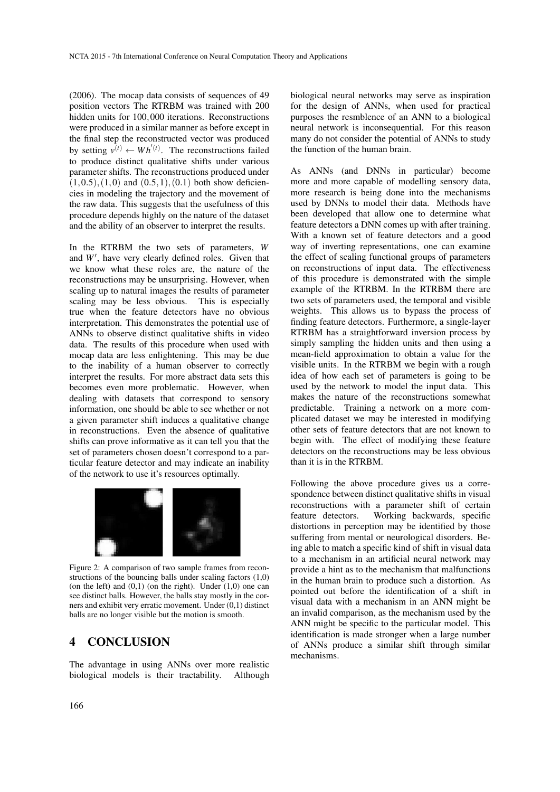(2006). The mocap data consists of sequences of 49 position vectors The RTRBM was trained with 200 hidden units for 100,000 iterations. Reconstructions were produced in a similar manner as before except in the final step the reconstructed vector was produced by setting  $v^{(t)} \leftarrow Wh^{(t)}$ . The reconstructions failed to produce distinct qualitative shifts under various parameter shifts. The reconstructions produced under  $(1,0.5), (1,0)$  and  $(0.5,1), (0.1)$  both show deficiencies in modeling the trajectory and the movement of the raw data. This suggests that the usefulness of this procedure depends highly on the nature of the dataset and the ability of an observer to interpret the results.

In the RTRBM the two sets of parameters, *W* and  $W'$ , have very clearly defined roles. Given that we know what these roles are, the nature of the reconstructions may be unsurprising. However, when scaling up to natural images the results of parameter scaling may be less obvious. This is especially true when the feature detectors have no obvious interpretation. This demonstrates the potential use of ANNs to observe distinct qualitative shifts in video data. The results of this procedure when used with mocap data are less enlightening. This may be due to the inability of a human observer to correctly interpret the results. For more abstract data sets this becomes even more problematic. However, when dealing with datasets that correspond to sensory information, one should be able to see whether or not a given parameter shift induces a qualitative change in reconstructions. Even the absence of qualitative shifts can prove informative as it can tell you that the set of parameters chosen doesn't correspond to a particular feature detector and may indicate an inability of the network to use it's resources optimally.



Figure 2: A comparison of two sample frames from reconstructions of the bouncing balls under scaling factors (1,0) (on the left) and  $(0,1)$  (on the right). Under  $(1,0)$  one can see distinct balls. However, the balls stay mostly in the corners and exhibit very erratic movement. Under (0,1) distinct balls are no longer visible but the motion is smooth.

## 4 CONCLUSION

The advantage in using ANNs over more realistic biological models is their tractability. Although

biological neural networks may serve as inspiration for the design of ANNs, when used for practical purposes the resmblence of an ANN to a biological neural network is inconsequential. For this reason many do not consider the potential of ANNs to study the function of the human brain.

As ANNs (and DNNs in particular) become more and more capable of modelling sensory data, more research is being done into the mechanisms used by DNNs to model their data. Methods have been developed that allow one to determine what feature detectors a DNN comes up with after training. With a known set of feature detectors and a good way of inverting representations, one can examine the effect of scaling functional groups of parameters on reconstructions of input data. The effectiveness of this procedure is demonstrated with the simple example of the RTRBM. In the RTRBM there are two sets of parameters used, the temporal and visible weights. This allows us to bypass the process of finding feature detectors. Furthermore, a single-layer RTRBM has a straightforward inversion process by simply sampling the hidden units and then using a mean-field approximation to obtain a value for the visible units. In the RTRBM we begin with a rough idea of how each set of parameters is going to be used by the network to model the input data. This makes the nature of the reconstructions somewhat predictable. Training a network on a more complicated dataset we may be interested in modifying other sets of feature detectors that are not known to begin with. The effect of modifying these feature detectors on the reconstructions may be less obvious than it is in the RTRBM.

Following the above procedure gives us a correspondence between distinct qualitative shifts in visual reconstructions with a parameter shift of certain feature detectors. Working backwards, specific distortions in perception may be identified by those suffering from mental or neurological disorders. Being able to match a specific kind of shift in visual data to a mechanism in an artificial neural network may provide a hint as to the mechanism that malfunctions in the human brain to produce such a distortion. As pointed out before the identification of a shift in visual data with a mechanism in an ANN might be an invalid comparison, as the mechanism used by the ANN might be specific to the particular model. This identification is made stronger when a large number of ANNs produce a similar shift through similar mechanisms.